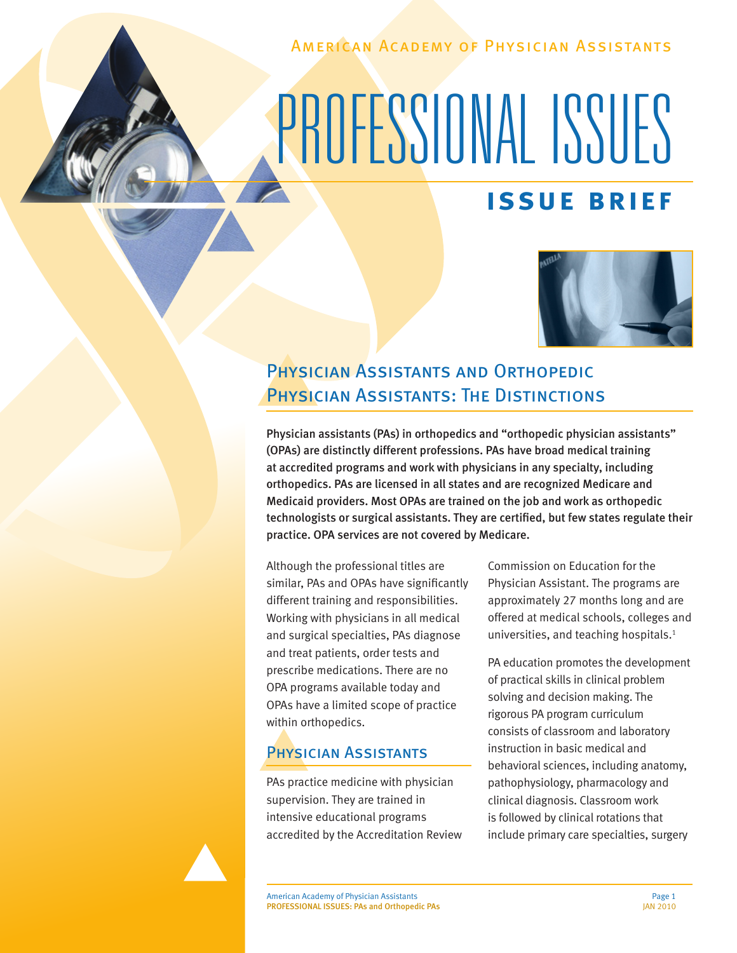American Academy of Physician Assistants

# PROFESSIONAL ISSUES

# **issue brief**



# Physician Assistants and Orthopedic PHYSICIAN ASSISTANTS: THE DISTINCTIONS

Physician assistants (PAs) in orthopedics and "orthopedic physician assistants" (OPAs) are distinctly different professions. PAs have broad medical training at accredited programs and work with physicians in any specialty, including orthopedics. PAs are licensed in all states and are recognized Medicare and Medicaid providers. Most OPAs are trained on the job and work as orthopedic technologists or surgical assistants. They are certified, but few states regulate their practice. OPA services are not covered by Medicare.

Although the professional titles are similar, PAs and OPAs have significantly different training and responsibilities. Working with physicians in all medical and surgical specialties, PAs diagnose and treat patients, order tests and prescribe medications. There are no OPA programs available today and OPAs have a limited scope of practice within orthopedics.

## Physician Assistants

PAs practice medicine with physician supervision. They are trained in intensive educational programs accredited by the Accreditation Review Commission on Education for the Physician Assistant. The programs are approximately 27 months long and are offered at medical schools, colleges and universities, and teaching hospitals.<sup>1</sup>

PA education promotes the development of practical skills in clinical problem solving and decision making. The rigorous PA program curriculum consists of classroom and laboratory instruction in basic medical and behavioral sciences, including anatomy, pathophysiology, pharmacology and clinical diagnosis. Classroom work is followed by clinical rotations that include primary care specialties, surgery

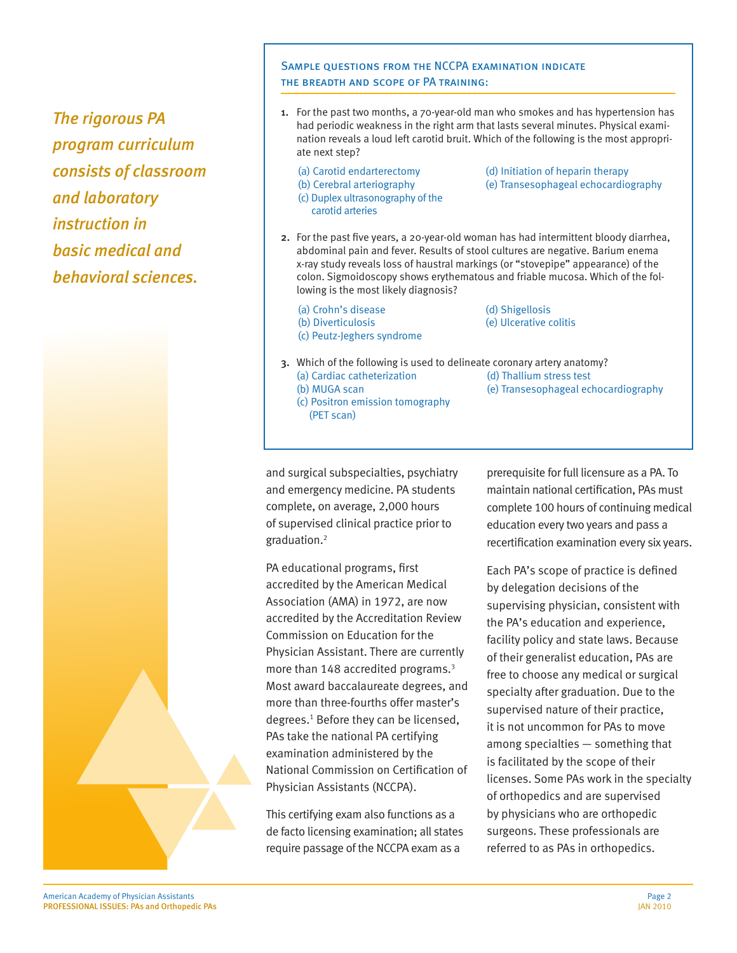*The rigorous PA program curriculum consists of classroom and laboratory instruction in basic medical and behavioral sciences.*



#### SAMPLE QUESTIONS FROM THE NCCPA EXAMINATION INDICATE the breadth and scope of PA training:

- 1. For the past two months, a 70-year-old man who smokes and has hypertension has had periodic weakness in the right arm that lasts several minutes. Physical examination reveals a loud left carotid bruit. Which of the following is the most appropriate next step?
	-
	- (c) Duplex ultrasonography of the
	- carotid arteries
	- (a) Carotid endarterectomy (d) Initiation of heparin therapy
	- (b) Cerebral arteriography (e) Transesophageal echocardiography
- 2. For the past five years, a 20-year-old woman has had intermittent bloody diarrhea, abdominal pain and fever. Results of stool cultures are negative. Barium enema x-ray study reveals loss of haustral markings (or "stovepipe" appearance) of the colon. Sigmoidoscopy shows erythematous and friable mucosa. Which of the following is the most likely diagnosis?
	- (a) Crohn's disease (d) Shigellosis (b) Diverticulosis (e) Ulcerative colitis (c) Peutz-Jeghers syndrome

(PET scan)

- 
- 3. Which of the following is used to delineate coronary artery anatomy? (a) Cardiac catheterization (d) Thallium stress test (b) MUGA scan (e) Transesophageal echocardiography (c) Positron emission tomography
- and surgical subspecialties, psychiatry and emergency medicine. PA students complete, on average, 2,000 hours of supervised clinical practice prior to graduation.2

PA educational programs, first accredited by the American Medical Association (AMA) in 1972, are now accredited by the Accreditation Review Commission on Education for the Physician Assistant. There are currently more than 148 accredited programs.3 Most award baccalaureate degrees, and more than three-fourths offer master's degrees.1 Before they can be licensed, PAs take the national PA certifying examination administered by the National Commission on Certification of Physician Assistants (NCCPA).

This certifying exam also functions as a de facto licensing examination; all states require passage of the NCCPA exam as a

prerequisite for full licensure as a PA. To maintain national certification, PAs must complete 100 hours of continuing medical education every two years and pass a recertification examination every six years.

Each PA's scope of practice is defined by delegation decisions of the supervising physician, consistent with the PA's education and experience, facility policy and state laws. Because of their generalist education, PAs are free to choose any medical or surgical specialty after graduation. Due to the supervised nature of their practice, it is not uncommon for PAs to move among specialties — something that is facilitated by the scope of their licenses. Some PAs work in the specialty of orthopedics and are supervised by physicians who are orthopedic surgeons. These professionals are referred to as PAs in orthopedics.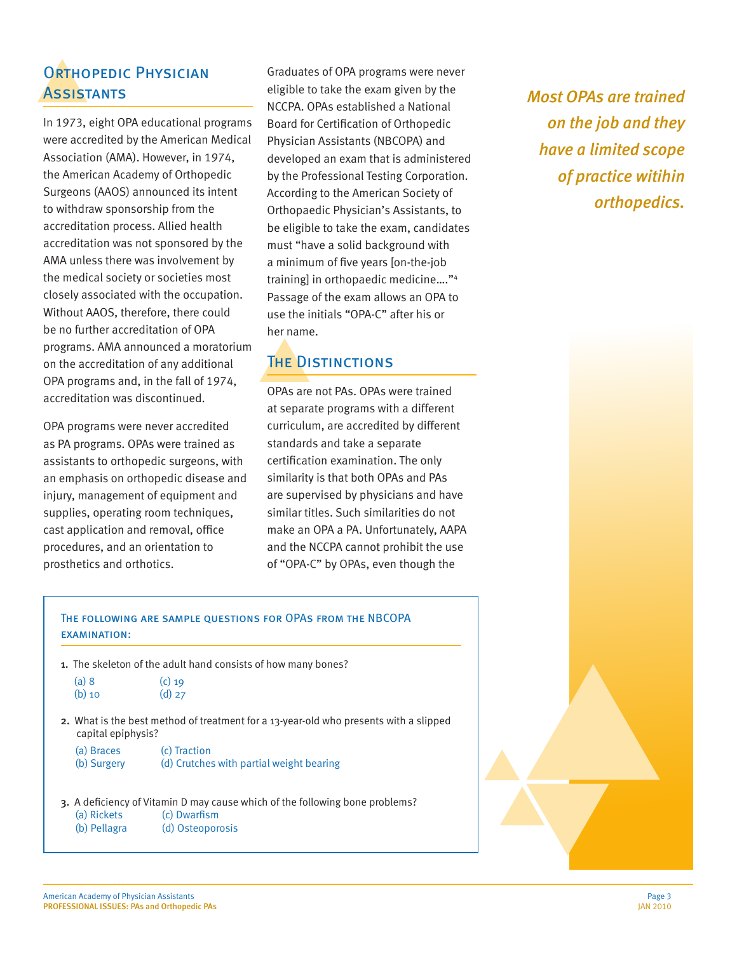# ORTHOPEDIC PHYSICIAN **ASSISTANTS**

In 1973, eight OPA educational programs were accredited by the American Medical Association (AMA). However, in 1974, the American Academy of Orthopedic Surgeons (AAOS) announced its intent to withdraw sponsorship from the accreditation process. Allied health accreditation was not sponsored by the AMA unless there was involvement by the medical society or societies most closely associated with the occupation. Without AAOS, therefore, there could be no further accreditation of OPA programs. AMA announced a moratorium on the accreditation of any additional OPA programs and, in the fall of 1974, accreditation was discontinued.

OPA programs were never accredited as PA programs. OPAs were trained as assistants to orthopedic surgeons, with an emphasis on orthopedic disease and injury, management of equipment and supplies, operating room techniques, cast application and removal, office procedures, and an orientation to prosthetics and orthotics.

Graduates of OPA programs were never eligible to take the exam given by the NCCPA. OPAs established a National Board for Certification of Orthopedic Physician Assistants (NBCOPA) and developed an exam that is administered by the Professional Testing Corporation. According to the American Society of Orthopaedic Physician's Assistants, to be eligible to take the exam, candidates must "have a solid background with a minimum of five years [on-the-job training] in orthopaedic medicine…."4 Passage of the exam allows an OPA to use the initials "OPA-C" after his or her name.

# The Distinctions

OPAs are not PAs. OPAs were trained at separate programs with a different curriculum, are accredited by different standards and take a separate certification examination. The only similarity is that both OPAs and PAs are supervised by physicians and have similar titles. Such similarities do not make an OPA a PA. Unfortunately, AAPA and the NCCPA cannot prohibit the use of "OPA-C" by OPAs, even though the

*Most OPAs are trained on the job and they have a limited scope of practice witihin orthopedics.*

### The following are sample questions for OPAs from the NBCOPA examination:

- 1. The skeleton of the adult hand consists of how many bones?
	- (a) 8 (c) 19  $(b)$  10  $(d)$  27
- 2. What is the best method of treatment for a 13-year-old who presents with a slipped capital epiphysis?
	- (a) Braces (c) Traction (b) Surgery (d) Crutches with partial weight bearing
- 3. A deficiency of Vitamin D may cause which of the following bone problems? (a) Rickets (c) Dwarfism
	- (b) Pellagra (d) Osteoporosis